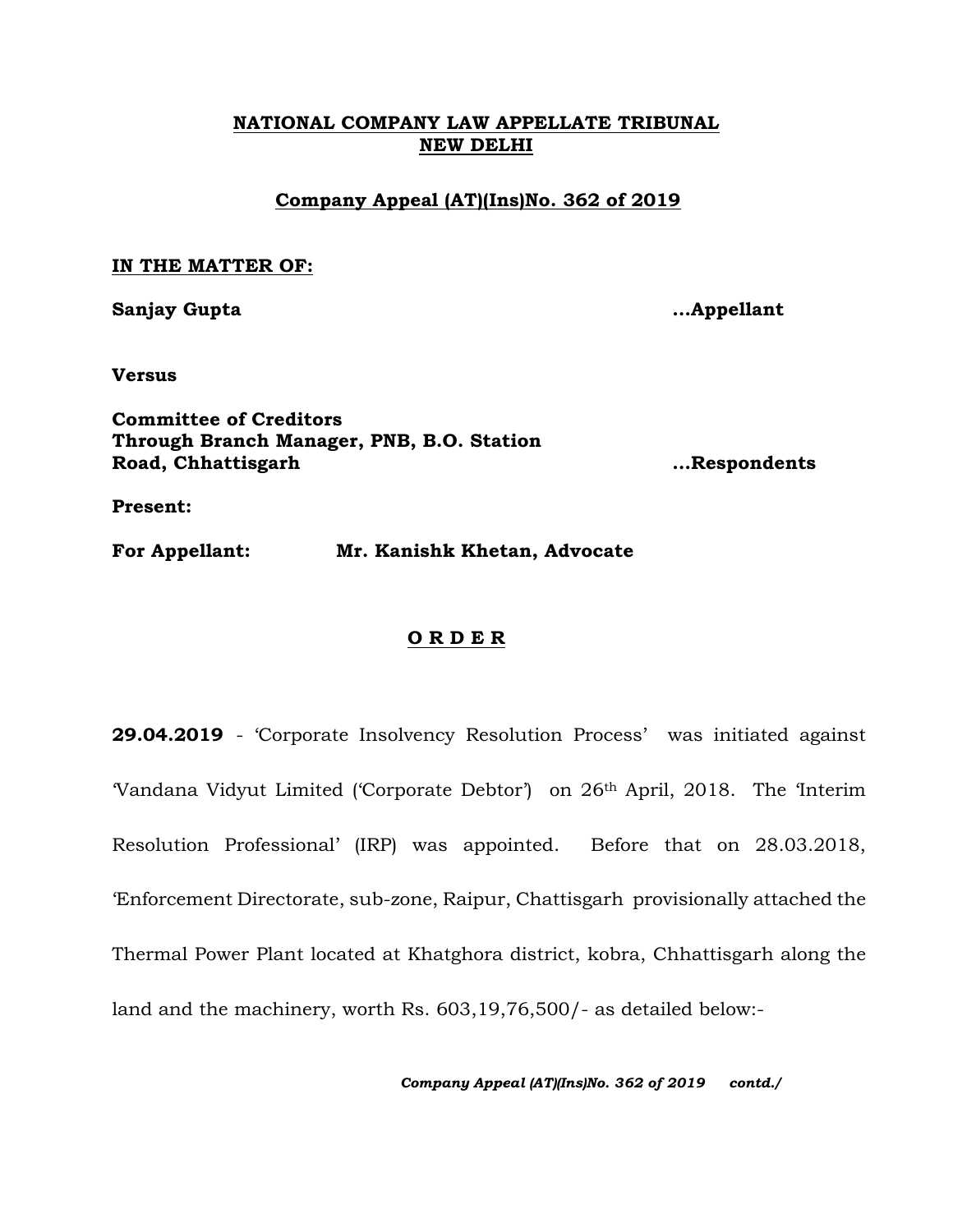## **NATIONAL COMPANY LAW APPELLATE TRIBUNAL NEW DELHI**

## **Company Appeal (AT)(Ins)No. 362 of 2019**

## **IN THE MATTER OF:**

**Sanjay Gupta …Appellant**

**Versus**

**Committee of Creditors Through Branch Manager, PNB, B.O. Station Road, Chhattisgarh …Respondents**

**Present:**

**For Appellant: Mr. Kanishk Khetan, Advocate**

## **O R D E R**

**29.04.2019** - 'Corporate Insolvency Resolution Process' was initiated against 'Vandana Vidyut Limited ('Corporate Debtor') on 26th April, 2018. The 'Interim Resolution Professional' (IRP) was appointed. Before that on 28.03.2018, 'Enforcement Directorate, sub-zone, Raipur, Chattisgarh provisionally attached the Thermal Power Plant located at Khatghora district, kobra, Chhattisgarh along the land and the machinery, worth Rs. 603,19,76,500/- as detailed below:-

*Company Appeal (AT)(Ins)No. 362 of 2019 contd./*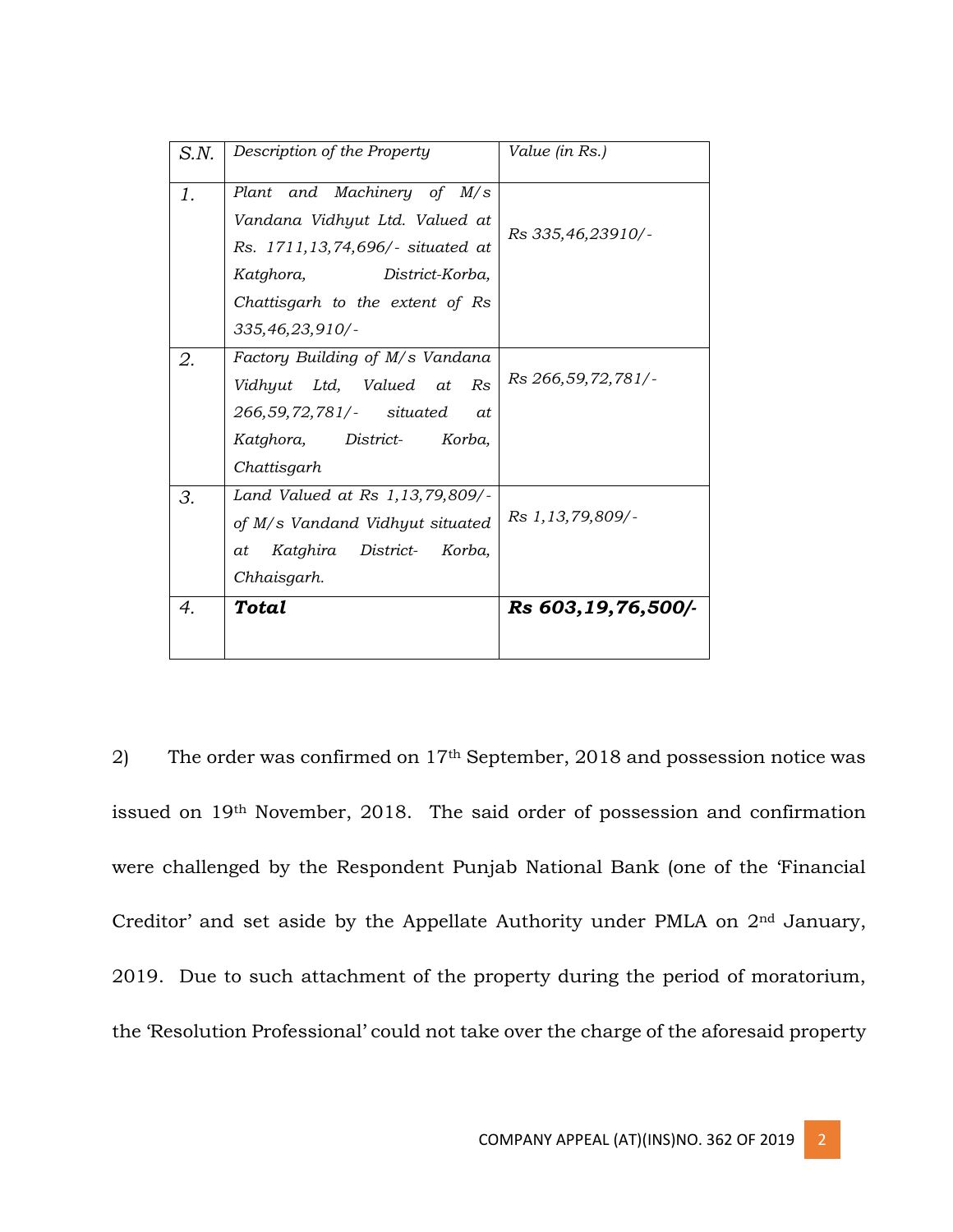| S.N. | Description of the Property                                                                                                                                                           | Value (in Rs.)        |
|------|---------------------------------------------------------------------------------------------------------------------------------------------------------------------------------------|-----------------------|
| 1.   | Plant and Machinery of M/s<br>Vandana Vidhyut Ltd. Valued at<br>Rs. 1711,13,74,696/- situated at<br>Katghora,<br>District-Korba,<br>Chattisgarh to the extent of Rs<br>335,46,23,910/ | Rs 335,46,23910/-     |
| 2.   | Factory Building of M/s Vandana<br>Vidhyut Ltd, Valued at<br>Rs<br>266,59,72,781/- situated<br>at<br>Katghora, District- Korba,<br>Chattisgarh                                        | Rs 266, 59, 72, 781/- |
| 3.   | Land Valued at Rs 1,13,79,809/-<br>of M/s Vandand Vidhyut situated<br>Katghira District- Korba,<br>at<br>Chhaisgarh.                                                                  | Rs 1, 13, 79, 809/-   |
| 4.   | <b>Total</b>                                                                                                                                                                          | Rs 603,19,76,500/-    |

2) The order was confirmed on 17th September, 2018 and possession notice was issued on 19th November, 2018. The said order of possession and confirmation were challenged by the Respondent Punjab National Bank (one of the 'Financial Creditor' and set aside by the Appellate Authority under PMLA on 2nd January, 2019. Due to such attachment of the property during the period of moratorium, the 'Resolution Professional' could not take over the charge of the aforesaid property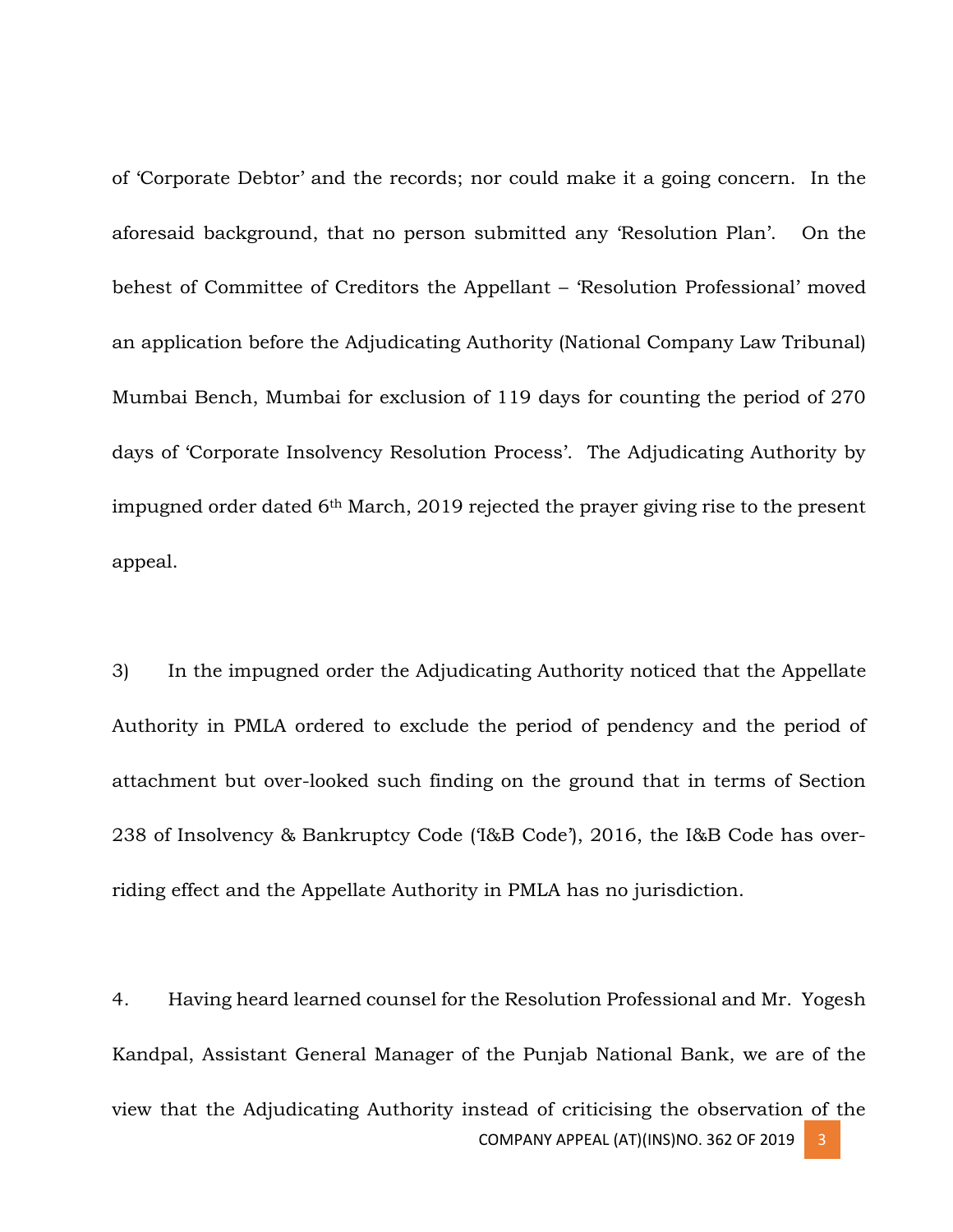of 'Corporate Debtor' and the records; nor could make it a going concern. In the aforesaid background, that no person submitted any 'Resolution Plan'. On the behest of Committee of Creditors the Appellant – 'Resolution Professional' moved an application before the Adjudicating Authority (National Company Law Tribunal) Mumbai Bench, Mumbai for exclusion of 119 days for counting the period of 270 days of 'Corporate Insolvency Resolution Process'. The Adjudicating Authority by impugned order dated 6th March, 2019 rejected the prayer giving rise to the present appeal.

3) In the impugned order the Adjudicating Authority noticed that the Appellate Authority in PMLA ordered to exclude the period of pendency and the period of attachment but over-looked such finding on the ground that in terms of Section 238 of Insolvency & Bankruptcy Code ('I&B Code'), 2016, the I&B Code has overriding effect and the Appellate Authority in PMLA has no jurisdiction.

COMPANY APPEAL (AT)(INS)NO. 362 OF 2019 4. Having heard learned counsel for the Resolution Professional and Mr. Yogesh Kandpal, Assistant General Manager of the Punjab National Bank, we are of the view that the Adjudicating Authority instead of criticising the observation of the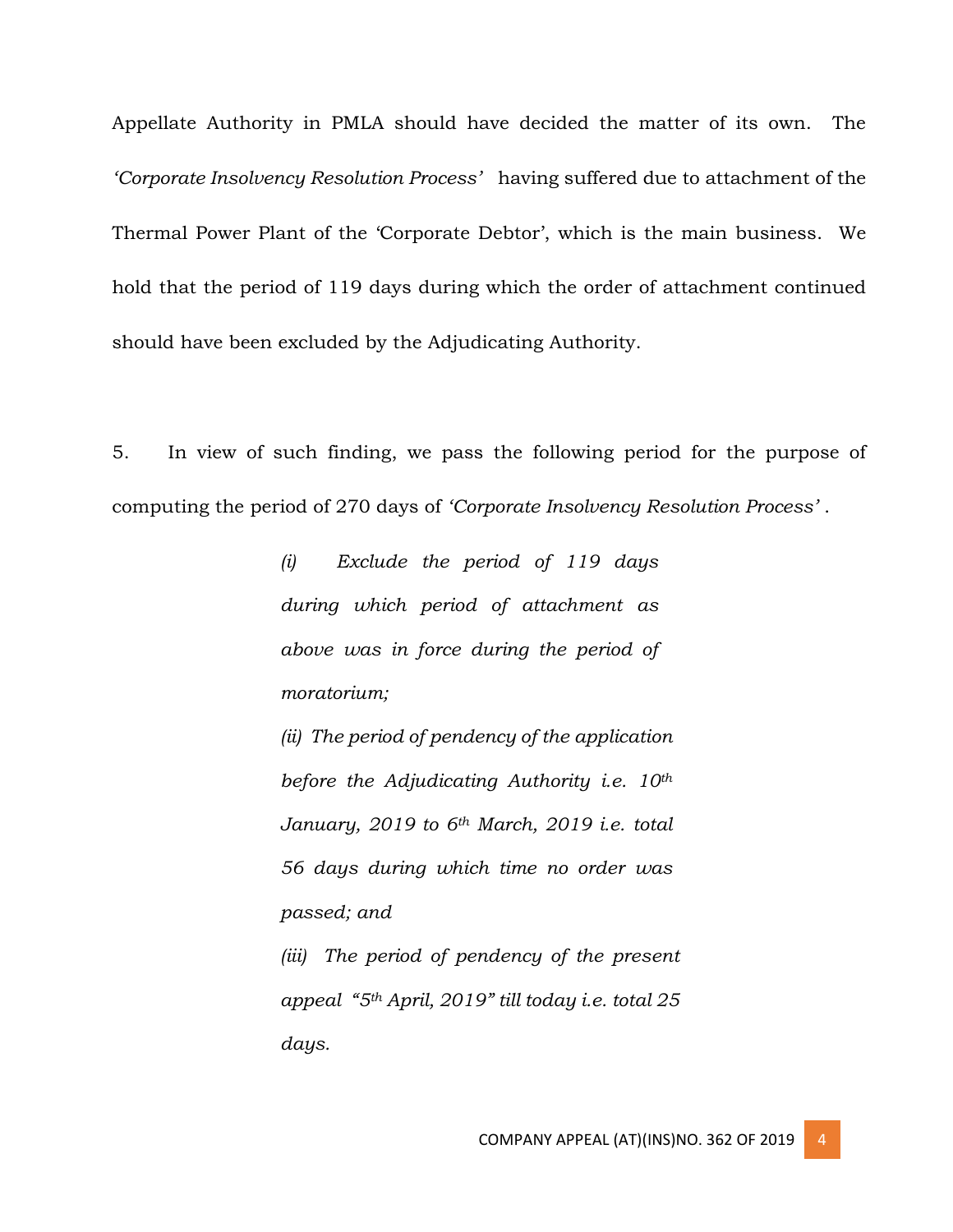Appellate Authority in PMLA should have decided the matter of its own. The *'Corporate Insolvency Resolution Process'* having suffered due to attachment of the Thermal Power Plant of the 'Corporate Debtor', which is the main business. We hold that the period of 119 days during which the order of attachment continued should have been excluded by the Adjudicating Authority.

5. In view of such finding, we pass the following period for the purpose of computing the period of 270 days of *'Corporate Insolvency Resolution Process'* .

> *(i) Exclude the period of 119 days during which period of attachment as above was in force during the period of moratorium;*

*(ii) The period of pendency of the application before the Adjudicating Authority i.e. 10th January, 2019 to 6th March, 2019 i.e. total 56 days during which time no order was passed; and*

*(iii) The period of pendency of the present appeal "5th April, 2019" till today i.e. total 25 days.*